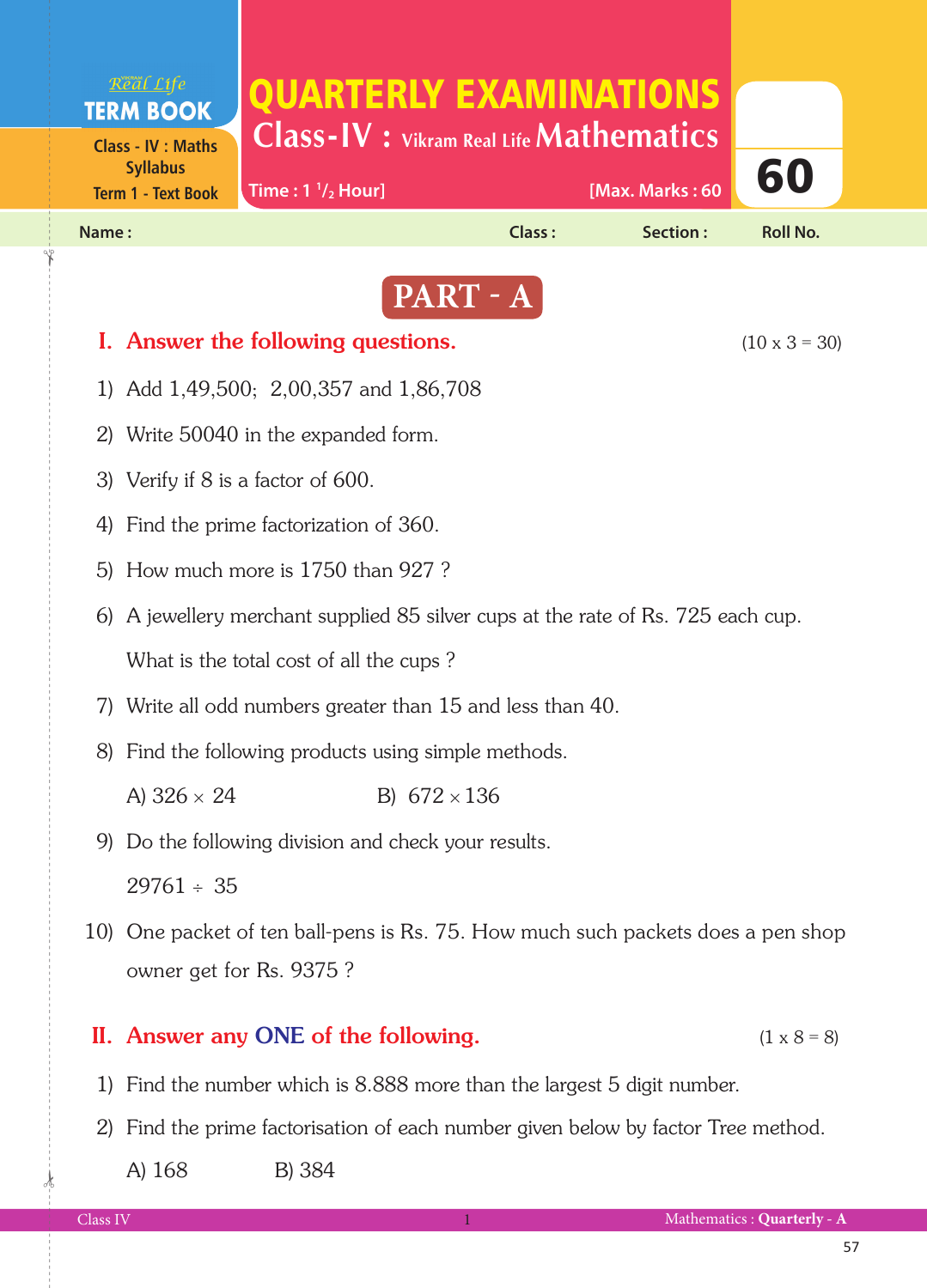

- A)  $326 \times 24$  B)  $672 \times 136$
- 9) Do the following division and check your results.

 $29761 \div 35$ 

 10) One packet of ten ball-pens is Rs. 75. How much such packets does a pen shop owner get for Rs. 9375 ?

## II. Answer any ONE of the following.  $(1 \times 8 = 8)$

- 1) Find the number which is 8.888 more than the largest 5 digit number.
- 2) Find the prime factorisation of each number given below by factor Tree method.

A) 168 B) 384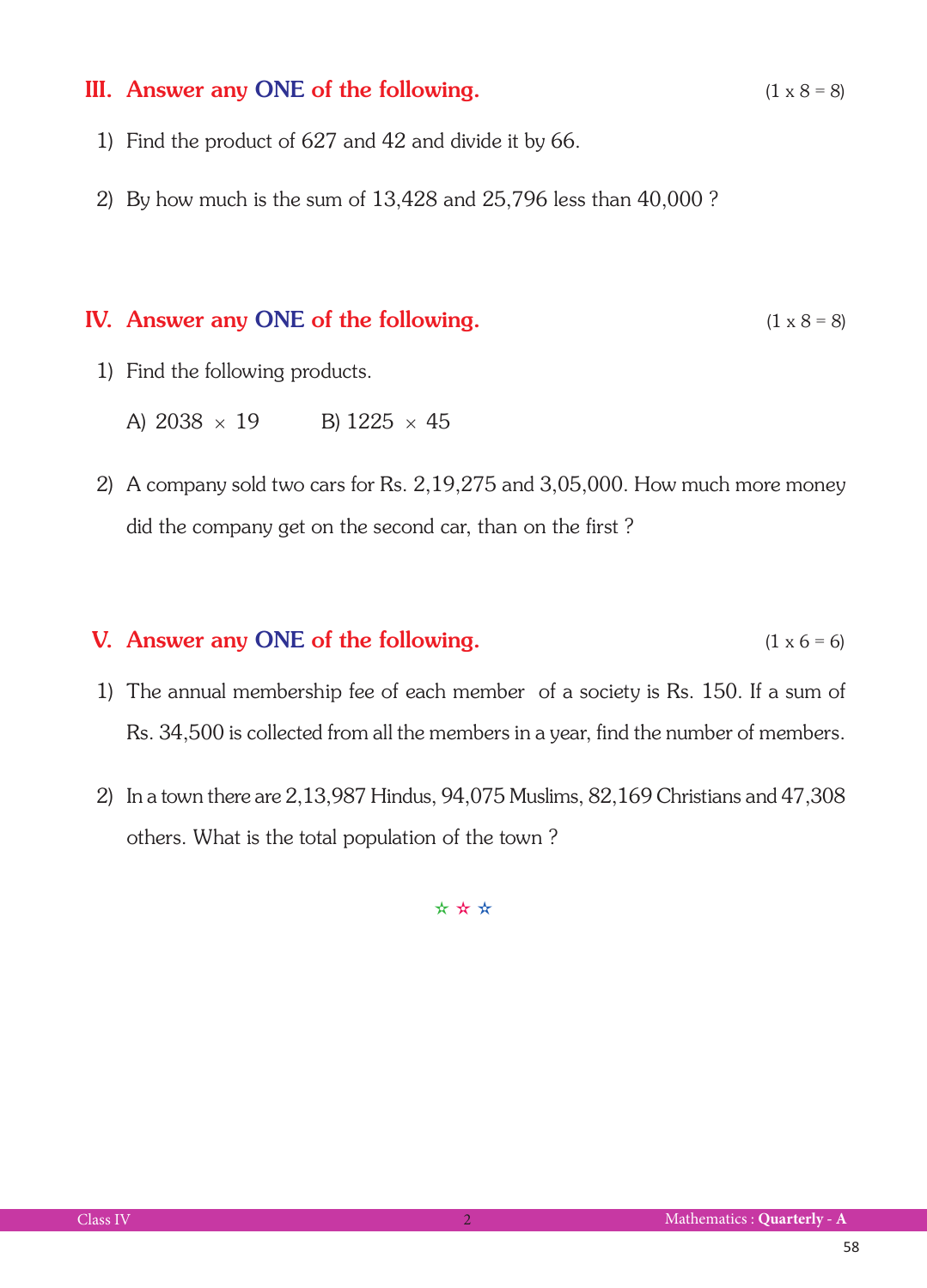## III. Answer any ONE of the following.  $(1 \times 8 = 8)$

- 1) Find the product of 627 and 42 and divide it by 66.
- 2) By how much is the sum of 13,428 and 25,796 less than 40,000 ?

## IV. Answer any ONE of the following.  $(1 \times 8 = 8)$

- 1) Find the following products.
	- A)  $2038 \times 19$  B)  $1225 \times 45$
- 2) A company sold two cars for Rs. 2,19,275 and 3,05,000. How much more money did the company get on the second car, than on the first ?

## **V.** Answer any ONE of the following.  $(1 \times 6 = 6)$

- 1) The annual membership fee of each member of a society is Rs. 150. If a sum of Rs. 34,500 is collected from all the members in a year, find the number of members.
- 2) In a town there are 2,13,987 Hindus, 94,075 Muslims, 82,169 Christians and 47,308 others. What is the total population of the town ?

✫ ✫ ✫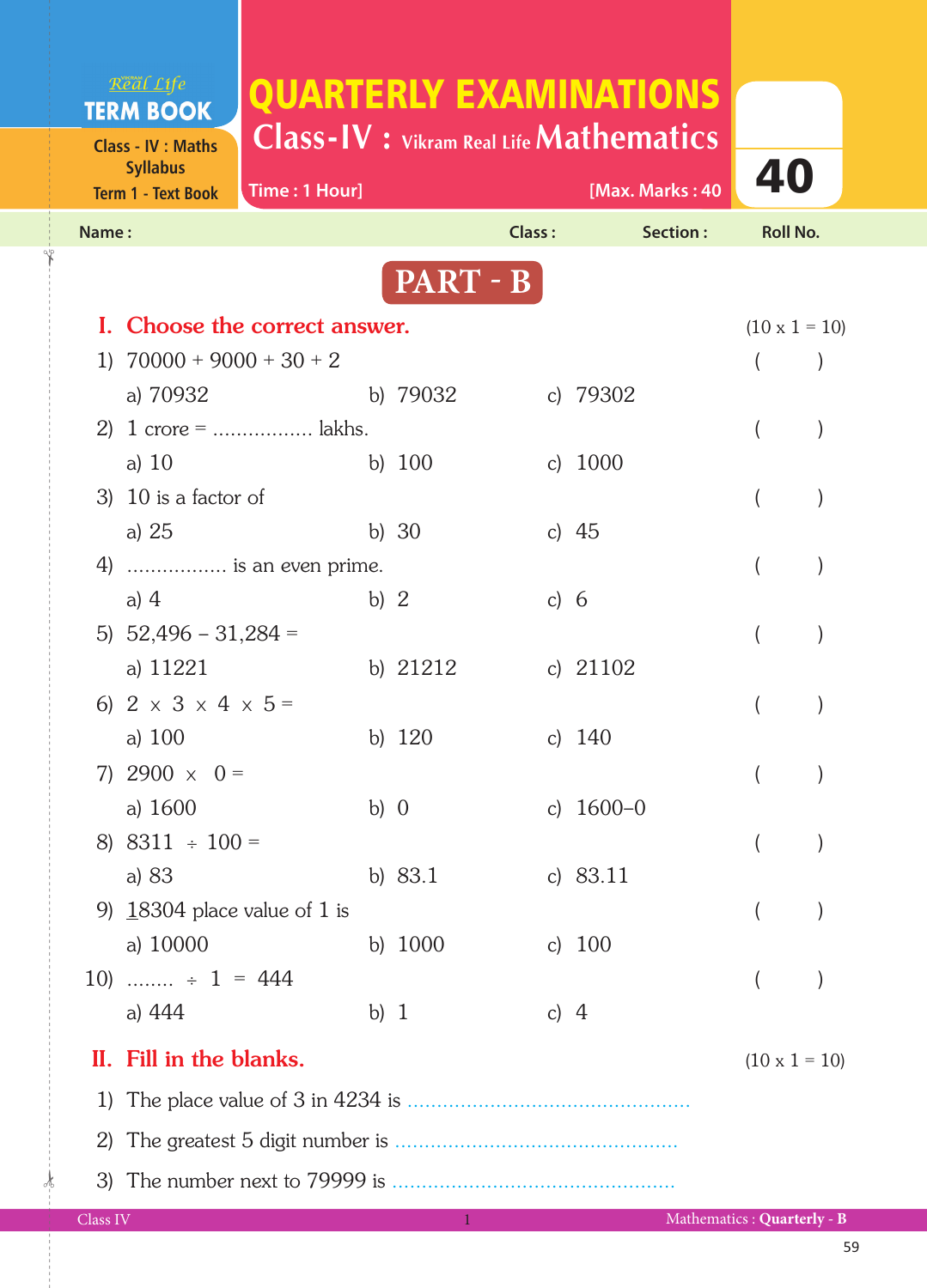| Real Life<br><b>TERM BOOK</b>                                             |                                     | QUARTERLY EXAMINATIONS                                                 |        |           |               |             |                 |                      |  |
|---------------------------------------------------------------------------|-------------------------------------|------------------------------------------------------------------------|--------|-----------|---------------|-------------|-----------------|----------------------|--|
| <b>Class - IV : Maths</b><br><b>Syllabus</b><br><b>Term 1 - Text Book</b> |                                     | <b>Class-IV</b> : Vikram Real Life <b>Mathematics</b><br>Time: 1 Hour] |        |           |               |             | [Max. Marks: 40 | 40                   |  |
| Name:                                                                     |                                     |                                                                        |        |           | <b>Class:</b> |             | Section:        | <b>Roll No.</b>      |  |
|                                                                           |                                     |                                                                        |        | PART - B  |               |             |                 |                      |  |
|                                                                           |                                     | I. Choose the correct answer.                                          |        |           |               |             |                 | $(10 \times 1 = 10)$ |  |
|                                                                           |                                     | 1) $70000 + 9000 + 30 + 2$                                             |        |           |               |             |                 |                      |  |
|                                                                           | a) 70932                            |                                                                        |        | b) 79032  |               | c) 79302    |                 |                      |  |
|                                                                           |                                     |                                                                        |        |           |               |             |                 |                      |  |
| a) $10$                                                                   |                                     |                                                                        |        | b) $100$  |               | c) $1000$   |                 |                      |  |
|                                                                           | 3) 10 is a factor of                |                                                                        |        |           |               |             |                 |                      |  |
| a) $25$                                                                   |                                     |                                                                        |        | b) $30$   |               | c) $45$     |                 |                      |  |
|                                                                           |                                     | 4)  is an even prime.                                                  |        |           |               |             |                 |                      |  |
| a) $4$                                                                    |                                     |                                                                        | b) $2$ |           | c) $6$        |             |                 |                      |  |
|                                                                           | 5) $52,496 - 31,284 =$              |                                                                        |        |           |               |             |                 |                      |  |
|                                                                           | a) 11221                            |                                                                        |        | b) 21212  |               | c) $21102$  |                 |                      |  |
|                                                                           | 6) $2 \times 3 \times 4 \times 5 =$ |                                                                        |        |           |               |             |                 |                      |  |
| a) $100$                                                                  |                                     |                                                                        |        | b) 120    |               | c) $140$    |                 |                      |  |
|                                                                           | 7) 2900 $\times$ 0 =                |                                                                        |        |           |               |             |                 |                      |  |
| a) 1600                                                                   |                                     |                                                                        | b) $0$ |           |               | c) $1600-0$ |                 |                      |  |
|                                                                           | 8) $8311 \div 100 =$                |                                                                        |        |           |               |             |                 |                      |  |
| a) 83                                                                     |                                     |                                                                        |        | b) $83.1$ |               | c) $83.11$  |                 |                      |  |
|                                                                           |                                     | 9) $18304$ place value of 1 is                                         |        |           |               |             |                 |                      |  |
|                                                                           | a) 10000                            |                                                                        |        | b) 1000   |               | c) $100$    |                 |                      |  |
|                                                                           | 10) $\div$ 1 = 444                  |                                                                        |        |           |               |             |                 |                      |  |
| a) 444                                                                    |                                     |                                                                        | b) $1$ |           | c) $4$        |             |                 |                      |  |
|                                                                           | II. Fill in the blanks.             |                                                                        |        |           |               |             |                 | $(10 \times 1 = 10)$ |  |
| 1)                                                                        |                                     |                                                                        |        |           |               |             |                 |                      |  |
| 2)                                                                        |                                     |                                                                        |        |           |               |             |                 |                      |  |
|                                                                           |                                     |                                                                        |        |           |               |             |                 |                      |  |
|                                                                           |                                     |                                                                        |        |           |               |             |                 |                      |  |

1